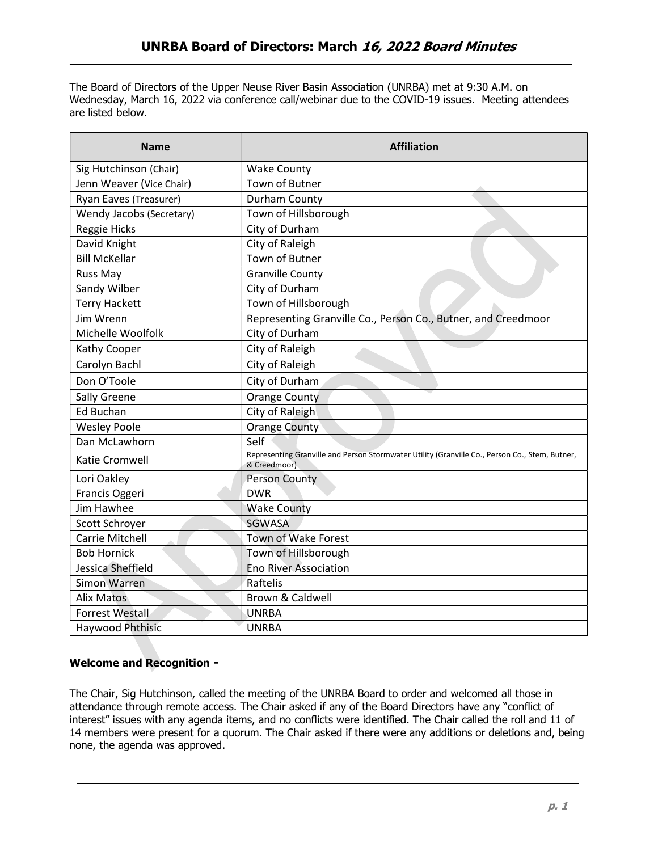The Board of Directors of the Upper Neuse River Basin Association (UNRBA) met at 9:30 A.M. on Wednesday, March 16, 2022 via conference call/webinar due to the COVID-19 issues. Meeting attendees are listed below.

| <b>Name</b>              | <b>Affiliation</b>                                                                                             |
|--------------------------|----------------------------------------------------------------------------------------------------------------|
| Sig Hutchinson (Chair)   | <b>Wake County</b>                                                                                             |
| Jenn Weaver (Vice Chair) | <b>Town of Butner</b>                                                                                          |
| Ryan Eaves (Treasurer)   | Durham County                                                                                                  |
| Wendy Jacobs (Secretary) | Town of Hillsborough                                                                                           |
| Reggie Hicks             | City of Durham                                                                                                 |
| David Knight             | City of Raleigh                                                                                                |
| <b>Bill McKellar</b>     | <b>Town of Butner</b>                                                                                          |
| Russ May                 | <b>Granville County</b>                                                                                        |
| Sandy Wilber             | City of Durham                                                                                                 |
| <b>Terry Hackett</b>     | Town of Hillsborough                                                                                           |
| Jim Wrenn                | Representing Granville Co., Person Co., Butner, and Creedmoor                                                  |
| Michelle Woolfolk        | City of Durham                                                                                                 |
| Kathy Cooper             | City of Raleigh                                                                                                |
| Carolyn Bachl            | City of Raleigh                                                                                                |
| Don O'Toole              | City of Durham                                                                                                 |
| Sally Greene             | <b>Orange County</b>                                                                                           |
| <b>Ed Buchan</b>         | City of Raleigh                                                                                                |
| <b>Wesley Poole</b>      | <b>Orange County</b>                                                                                           |
| Dan McLawhorn            | Self                                                                                                           |
| Katie Cromwell           | Representing Granville and Person Stormwater Utility (Granville Co., Person Co., Stem, Butner,<br>& Creedmoor) |
| Lori Oakley              | Person County                                                                                                  |
| Francis Oggeri           | <b>DWR</b>                                                                                                     |
| Jim Hawhee               | <b>Wake County</b>                                                                                             |
| Scott Schroyer           | SGWASA                                                                                                         |
| Carrie Mitchell          | Town of Wake Forest                                                                                            |
| <b>Bob Hornick</b>       | Town of Hillsborough                                                                                           |
| Jessica Sheffield        | <b>Eno River Association</b>                                                                                   |
| Simon Warren             | Raftelis                                                                                                       |
| <b>Alix Matos</b>        | Brown & Caldwell                                                                                               |
| <b>Forrest Westall</b>   | <b>UNRBA</b>                                                                                                   |
| Haywood Phthisic         | <b>UNRBA</b>                                                                                                   |

## Welcome and Recognition -

The Chair, Sig Hutchinson, called the meeting of the UNRBA Board to order and welcomed all those in attendance through remote access. The Chair asked if any of the Board Directors have any "conflict of interest" issues with any agenda items, and no conflicts were identified. The Chair called the roll and 11 of 14 members were present for a quorum. The Chair asked if there were any additions or deletions and, being none, the agenda was approved.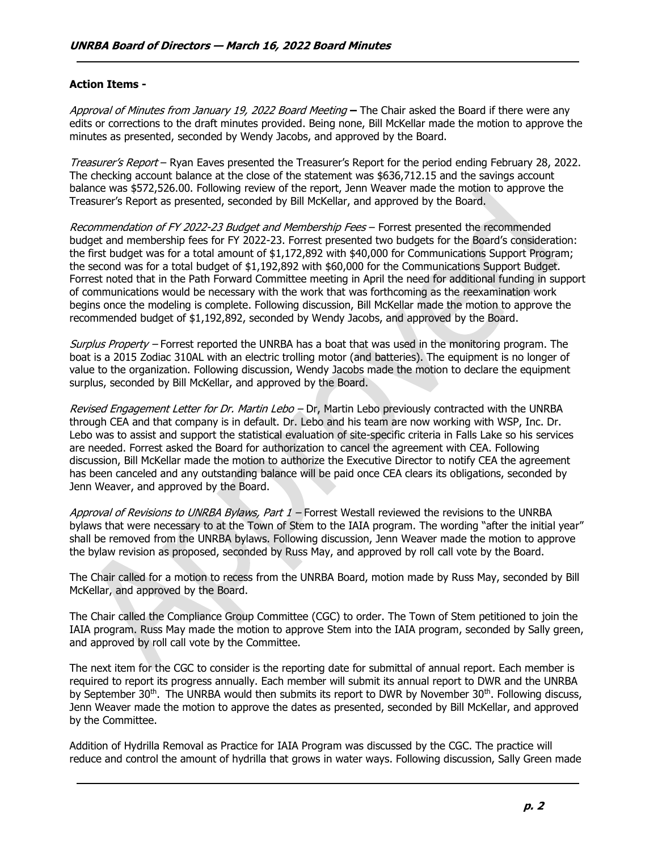## Action Items -

Approval of Minutes from January 19, 2022 Board Meeting - The Chair asked the Board if there were any edits or corrections to the draft minutes provided. Being none, Bill McKellar made the motion to approve the minutes as presented, seconded by Wendy Jacobs, and approved by the Board.

Treasurer's Report – Ryan Eaves presented the Treasurer's Report for the period ending February 28, 2022. The checking account balance at the close of the statement was \$636,712.15 and the savings account balance was \$572,526.00. Following review of the report, Jenn Weaver made the motion to approve the Treasurer's Report as presented, seconded by Bill McKellar, and approved by the Board.

Recommendation of FY 2022-23 Budget and Membership Fees – Forrest presented the recommended budget and membership fees for FY 2022-23. Forrest presented two budgets for the Board's consideration: the first budget was for a total amount of \$1,172,892 with \$40,000 for Communications Support Program; the second was for a total budget of \$1,192,892 with \$60,000 for the Communications Support Budget. Forrest noted that in the Path Forward Committee meeting in April the need for additional funding in support of communications would be necessary with the work that was forthcoming as the reexamination work begins once the modeling is complete. Following discussion, Bill McKellar made the motion to approve the recommended budget of \$1,192,892, seconded by Wendy Jacobs, and approved by the Board.

Surplus Property – Forrest reported the UNRBA has a boat that was used in the monitoring program. The boat is a 2015 Zodiac 310AL with an electric trolling motor (and batteries). The equipment is no longer of value to the organization. Following discussion, Wendy Jacobs made the motion to declare the equipment surplus, seconded by Bill McKellar, and approved by the Board.

Revised Engagement Letter for Dr. Martin Lebo - Dr, Martin Lebo previously contracted with the UNRBA through CEA and that company is in default. Dr. Lebo and his team are now working with WSP, Inc. Dr. Lebo was to assist and support the statistical evaluation of site-specific criteria in Falls Lake so his services are needed. Forrest asked the Board for authorization to cancel the agreement with CEA. Following discussion, Bill McKellar made the motion to authorize the Executive Director to notify CEA the agreement has been canceled and any outstanding balance will be paid once CEA clears its obligations, seconded by Jenn Weaver, and approved by the Board.

Approval of Revisions to UNRBA Bylaws, Part 1 – Forrest Westall reviewed the revisions to the UNRBA bylaws that were necessary to at the Town of Stem to the IAIA program. The wording "after the initial year" shall be removed from the UNRBA bylaws. Following discussion, Jenn Weaver made the motion to approve the bylaw revision as proposed, seconded by Russ May, and approved by roll call vote by the Board.

The Chair called for a motion to recess from the UNRBA Board, motion made by Russ May, seconded by Bill McKellar, and approved by the Board.

The Chair called the Compliance Group Committee (CGC) to order. The Town of Stem petitioned to join the IAIA program. Russ May made the motion to approve Stem into the IAIA program, seconded by Sally green, and approved by roll call vote by the Committee.

The next item for the CGC to consider is the reporting date for submittal of annual report. Each member is required to report its progress annually. Each member will submit its annual report to DWR and the UNRBA by September 30<sup>th</sup>. The UNRBA would then submits its report to DWR by November 30<sup>th</sup>. Following discuss, Jenn Weaver made the motion to approve the dates as presented, seconded by Bill McKellar, and approved by the Committee.

Addition of Hydrilla Removal as Practice for IAIA Program was discussed by the CGC. The practice will reduce and control the amount of hydrilla that grows in water ways. Following discussion, Sally Green made